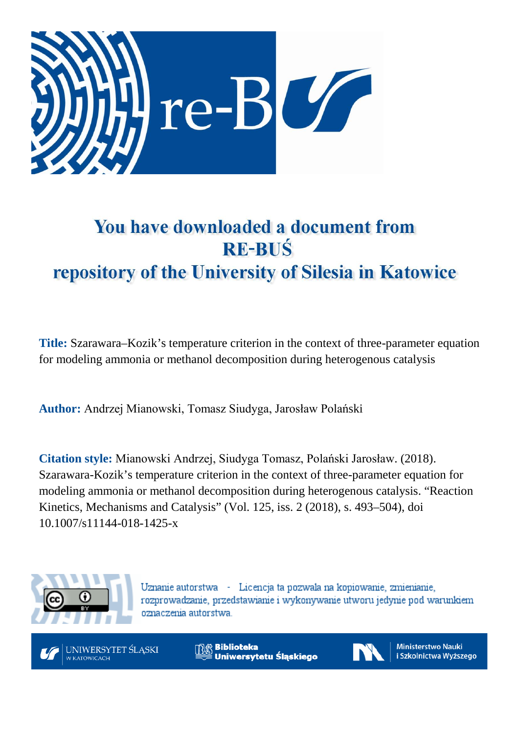

# You have downloaded a document from **RE-BUŚ** repository of the University of Silesia in Katowice

**Title:** Szarawara–Kozik's temperature criterion in the context of three-parameter equation for modeling ammonia or methanol decomposition during heterogenous catalysis

**Author:** Andrzej Mianowski, Tomasz Siudyga, Jarosław Polański

**Citation style:** Mianowski Andrzej, Siudyga Tomasz, Polański Jarosław. (2018). Szarawara-Kozik's temperature criterion in the context of three-parameter equation for modeling ammonia or methanol decomposition during heterogenous catalysis. "Reaction Kinetics, Mechanisms and Catalysis" (Vol. 125, iss. 2 (2018), s. 493–504), doi 10.1007/s11144-018-1425-x



Uznanie autorstwa - Licencja ta pozwala na kopiowanie, zmienianie, rozprowadzanie, przedstawianie i wykonywanie utworu jedynie pod warunkiem oznaczenia autorstwa.



**Biblioteka** Uniwersytetu Śląskiego



**Ministerstwo Nauki** i Szkolnictwa Wyższego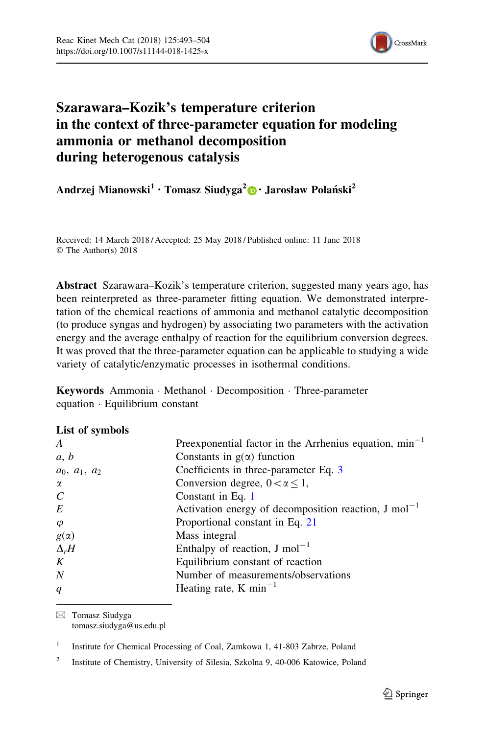

## Szarawara–Kozik's temperature criterion in the context of three-parameter equation for modeling ammonia or methanol decomposition during heterogenous catalysis

Andrzej Mianowski<sup>1</sup> · Tomasz Siudyga<sup>2</sup> [•](http://orcid.org/0000-0003-4646-6810) Jarosław Polański<sup>2</sup>

Received: 14 March 2018 / Accepted: 25 May 2018 / Published online: 11 June 2018 © The Author(s) 2018

Abstract Szarawara–Kozik's temperature criterion, suggested many years ago, has been reinterpreted as three-parameter fitting equation. We demonstrated interpretation of the chemical reactions of ammonia and methanol catalytic decomposition (to produce syngas and hydrogen) by associating two parameters with the activation energy and the average enthalpy of reaction for the equilibrium conversion degrees. It was proved that the three-parameter equation can be applicable to studying a wide variety of catalytic/enzymatic processes in isothermal conditions.

Keywords Ammonia - Methanol - Decomposition - Three-parameter equation - Equilibrium constant

## List of symbols

| A               | Preexponential factor in the Arrhenius equation, $min^{-1}$       |
|-----------------|-------------------------------------------------------------------|
| a, b            | Constants in $g(\alpha)$ function                                 |
| $a_0, a_1, a_2$ | Coefficients in three-parameter Eq. 3                             |
| α               | Conversion degree, $0 < \alpha \leq 1$ ,                          |
| $\mathcal C$    | Constant in Eq. 1                                                 |
| E               | Activation energy of decomposition reaction, $J \text{ mol}^{-1}$ |
| $\varphi$       | Proportional constant in Eq. 21                                   |
| $g(\alpha)$     | Mass integral                                                     |
| $\Delta_r H$    | Enthalpy of reaction, $J \text{ mol}^{-1}$                        |
| K               | Equilibrium constant of reaction                                  |
| N               | Number of measurements/observations                               |
| q               | Heating rate, K min <sup>-1</sup>                                 |
|                 |                                                                   |

& Tomasz Siudyga tomasz.siudyga@us.edu.pl

<sup>1</sup> Institute for Chemical Processing of Coal, Zamkowa 1, 41-803 Zabrze, Poland

<sup>&</sup>lt;sup>2</sup> Institute of Chemistry, University of Silesia, Szkolna 9, 40-006 Katowice, Poland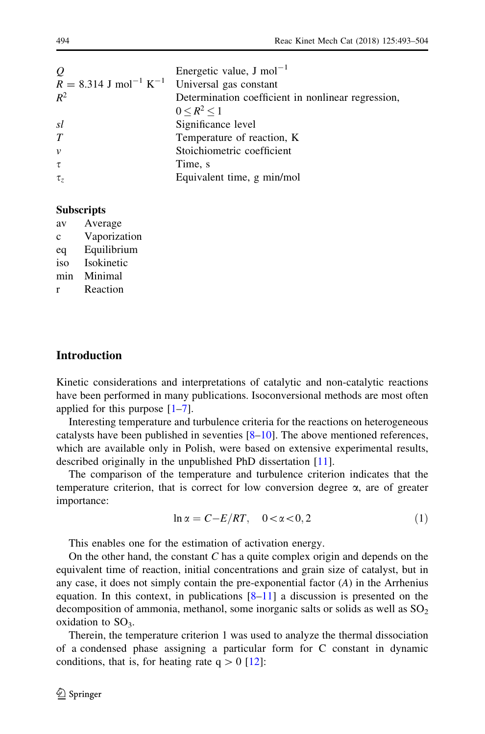<span id="page-2-0"></span>

| $\varrho$                                                              | Energetic value, J mol <sup><math>-1</math></sup>  |
|------------------------------------------------------------------------|----------------------------------------------------|
| $R = 8.314$ J mol <sup>-1</sup> K <sup>-1</sup> Universal gas constant |                                                    |
| $R^2$                                                                  | Determination coefficient in nonlinear regression, |
|                                                                        | $0 \le R^2 \le 1$                                  |
| sl                                                                     | Significance level                                 |
| T                                                                      | Temperature of reaction, K                         |
| $\mathcal{V}$                                                          | Stoichiometric coefficient                         |
| $\tau$                                                                 | Time, s                                            |
| $\tau$ ,                                                               | Equivalent time, g min/mol                         |

#### **Subscripts**

| av  | Average      |
|-----|--------------|
| c   | Vaporization |
| eq  | Equilibrium  |
| iso | Isokinetic   |
| min | Minimal      |
| r   | Reaction     |
|     |              |

## **Introduction**

Kinetic considerations and interpretations of catalytic and non-catalytic reactions have been performed in many publications. Isoconversional methods are most often applied for this purpose  $[1-7]$  $[1-7]$ .

Interesting temperature and turbulence criteria for the reactions on heterogeneous catalysts have been published in seventies  $[8-10]$ . The above mentioned references, which are available only in Polish, were based on extensive experimental results, described originally in the unpublished PhD dissertation [[11\]](#page-12-0).

The comparison of the temperature and turbulence criterion indicates that the temperature criterion, that is correct for low conversion degree  $\alpha$ , are of greater importance:

$$
\ln \alpha = C - E/RT, \quad 0 < \alpha < 0, 2 \tag{1}
$$

This enables one for the estimation of activation energy.

On the other hand, the constant C has a quite complex origin and depends on the equivalent time of reaction, initial concentrations and grain size of catalyst, but in any case, it does not simply contain the pre-exponential factor  $(A)$  in the Arrhenius equation. In this context, in publications  $[8-11]$  a discussion is presented on the decomposition of ammonia, methanol, some inorganic salts or solids as well as  $SO<sub>2</sub>$ oxidation to  $SO<sub>3</sub>$ .

Therein, the temperature criterion 1 was used to analyze the thermal dissociation of a condensed phase assigning a particular form for C constant in dynamic conditions, that is, for heating rate  $q > 0$  [\[12](#page-12-0)]: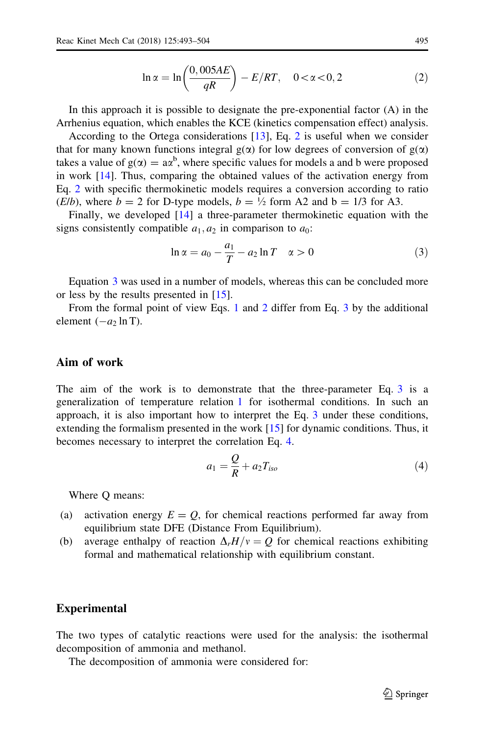$$
\ln \alpha = \ln \left( \frac{0,005AE}{qR} \right) - E/RT, \quad 0 < \alpha < 0,2
$$
 (2)

<span id="page-3-0"></span>In this approach it is possible to designate the pre-exponential factor (A) in the Arrhenius equation, which enables the KCE (kinetics compensation effect) analysis.

According to the Ortega considerations [[13\]](#page-12-0), Eq. 2 is useful when we consider that for many known functions integral  $g(\alpha)$  for low degrees of conversion of  $g(\alpha)$ takes a value of  $g(\alpha) = a\alpha^b$ , where specific values for models a and b were proposed in work [\[14](#page-12-0)]. Thus, comparing the obtained values of the activation energy from Eq. 2 with specific thermokinetic models requires a conversion according to ratio (*E*/*b*), where  $b = 2$  for D-type models,  $b = \frac{1}{2}$  form A2 and  $b = \frac{1}{3}$  for A3.

Finally, we developed [[14\]](#page-12-0) a three-parameter thermokinetic equation with the signs consistently compatible  $a_1, a_2$  in comparison to  $a_0$ :

$$
\ln \alpha = a_0 - \frac{a_1}{T} - a_2 \ln T \quad \alpha > 0 \tag{3}
$$

Equation 3 was used in a number of models, whereas this can be concluded more or less by the results presented in [\[15](#page-12-0)].

From the formal point of view Eqs. [1](#page-2-0) and 2 differ from Eq. 3 by the additional element  $(-a)$  ln T).

## Aim of work

The aim of the work is to demonstrate that the three-parameter Eq. 3 is a generalization of temperature relation [1](#page-2-0) for isothermal conditions. In such an approach, it is also important how to interpret the Eq. 3 under these conditions, extending the formalism presented in the work [[15\]](#page-12-0) for dynamic conditions. Thus, it becomes necessary to interpret the correlation Eq. 4.

$$
a_1 = \frac{Q}{R} + a_2 T_{iso} \tag{4}
$$

Where Q means:

- (a) activation energy  $E = Q$ , for chemical reactions performed far away from equilibrium state DFE (Distance From Equilibrium).
- (b) average enthalpy of reaction  $\Delta_r H/v=Q$  for chemical reactions exhibiting formal and mathematical relationship with equilibrium constant.

#### Experimental

The two types of catalytic reactions were used for the analysis: the isothermal decomposition of ammonia and methanol.

The decomposition of ammonia were considered for: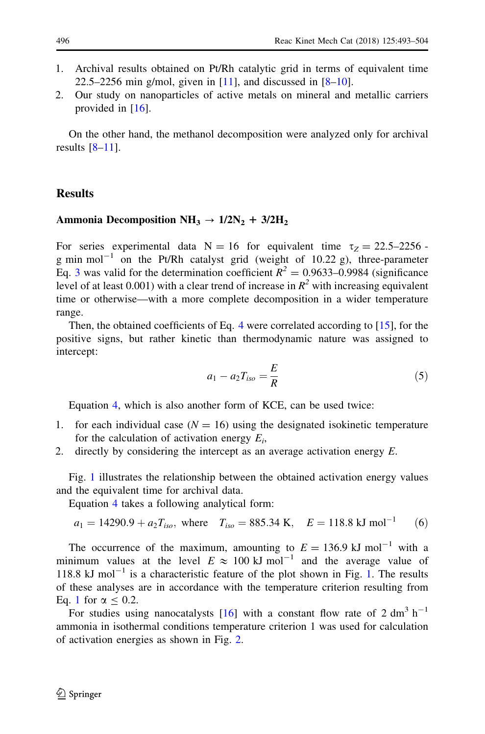- <span id="page-4-0"></span>1. Archival results obtained on Pt/Rh catalytic grid in terms of equivalent time 22.5–2256 min g/mol, given in  $[11]$  $[11]$ , and discussed in  $[8-10]$ .
- 2. Our study on nanoparticles of active metals on mineral and metallic carriers provided in [\[16](#page-12-0)].

On the other hand, the methanol decomposition were analyzed only for archival results  $[8-11]$ .

## **Results**

#### Ammonia Decomposition NH<sub>3</sub>  $\rightarrow$  1/2N<sub>2</sub> + 3/2H<sub>2</sub>

For series experimental data  $N = 16$  for equivalent time  $\tau_Z = 22.5-2256$ . g min mol<sup>-1</sup> on the Pt/Rh catalyst grid (weight of 10.22 g), three-parameter Eq. [3](#page-3-0) was valid for the determination coefficient  $R^2 = 0.9633 - 0.9984$  (significance level of at least 0.001) with a clear trend of increase in  $R^2$  with increasing equivalent time or otherwise—with a more complete decomposition in a wider temperature range.

Then, the obtained coefficients of Eq. [4](#page-3-0) were correlated according to [[15\]](#page-12-0), for the positive signs, but rather kinetic than thermodynamic nature was assigned to intercept:

$$
a_1 - a_2 T_{iso} = \frac{E}{R}
$$
 (5)

Equation [4,](#page-3-0) which is also another form of KCE, can be used twice:

- for each individual case ( $N = 16$ ) using the designated isokinetic temperature for the calculation of activation energy  $E_i$ ,
- 2. directly by considering the intercept as an average activation energy E.

Fig. [1](#page-5-0) illustrates the relationship between the obtained activation energy values and the equivalent time for archival data.

Equation [4](#page-3-0) takes a following analytical form:

$$
a_1 = 14290.9 + a_2 T_{iso}
$$
, where  $T_{iso} = 885.34$  K,  $E = 118.8$  kJ mol<sup>-1</sup> (6)

The occurrence of the maximum, amounting to  $E = 136.9$  kJ mol<sup>-1</sup> with a minimum values at the level  $E \approx 100 \text{ kJ mol}^{-1}$  and the average value of 118.8 kJ mol<sup> $-1$ </sup> is a characteristic feature of the plot shown in Fig. [1.](#page-5-0) The results of these analyses are in accordance with the temperature criterion resulting from Eq. [1](#page-2-0) for  $\alpha$  < 0.2.

For studies using nanocatalysts [\[16](#page-12-0)] with a constant flow rate of 2 dm<sup>3</sup> h<sup>-1</sup> ammonia in isothermal conditions temperature criterion 1 was used for calculation of activation energies as shown in Fig. [2](#page-5-0).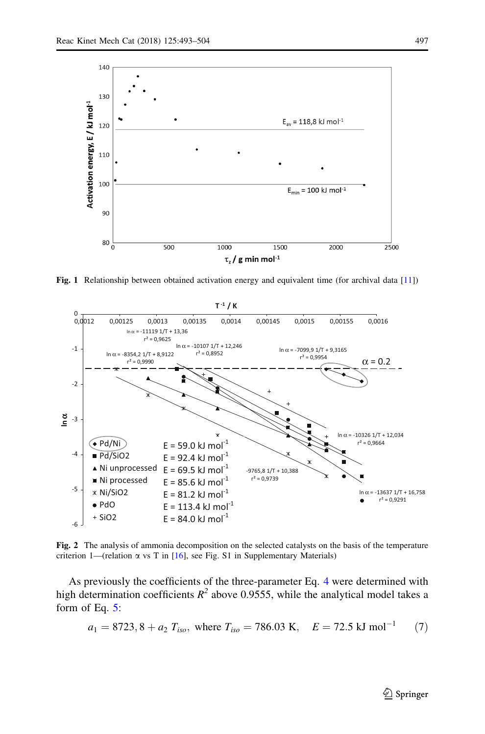<span id="page-5-0"></span>

Fig. 1 Relationship between obtained activation energy and equivalent time (for archival data [[11\]](#page-12-0))



Fig. 2 The analysis of ammonia decomposition on the selected catalysts on the basis of the temperature criterion 1—(relation  $\alpha$  vs T in [\[16](#page-12-0)], see Fig. S1 in Supplementary Materials)

As previously the coefficients of the three-parameter Eq. [4](#page-3-0) were determined with high determination coefficients  $R^2$  above 0.9555, while the analytical model takes a form of Eq. [5](#page-4-0):

$$
a_1 = 8723, 8 + a_2 T_{iso}
$$
, where  $T_{iso} = 786.03$  K,  $E = 72.5$  kJ mol<sup>-1</sup> (7)

 $\bigcirc$  Springer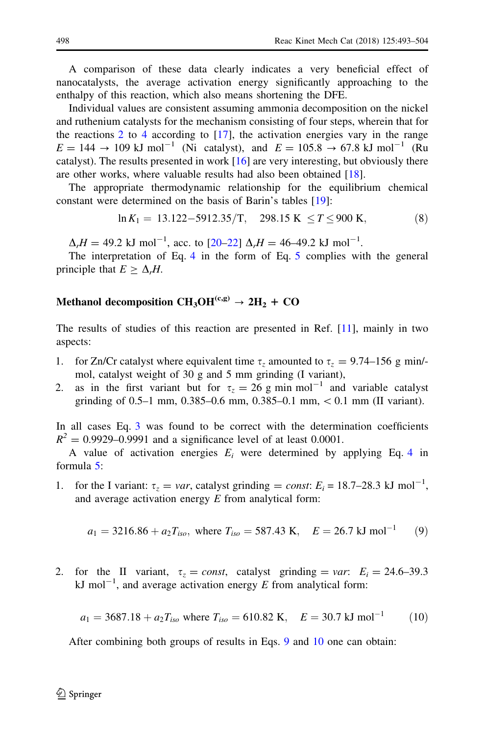<span id="page-6-0"></span>A comparison of these data clearly indicates a very beneficial effect of nanocatalysts, the average activation energy significantly approaching to the enthalpy of this reaction, which also means shortening the DFE.

Individual values are consistent assuming ammonia decomposition on the nickel and ruthenium catalysts for the mechanism consisting of four steps, wherein that for the reactions [2](#page-3-0) to [4](#page-3-0) according to  $[17]$ , the activation energies vary in the range  $E = 144 \rightarrow 109 \text{ kJ mol}^{-1}$  (Ni catalyst), and  $E = 105.8 \rightarrow 67.8 \text{ kJ mol}^{-1}$  (Ru catalyst). The results presented in work  $[16]$  $[16]$  are very interesting, but obviously there are other works, where valuable results had also been obtained [[18\]](#page-12-0).

The appropriate thermodynamic relationship for the equilibrium chemical constant were determined on the basis of Barin's tables [[19\]](#page-12-0):

$$
\ln K_1 = 13.122 - 5912.35/T, \quad 298.15 \text{ K} \le T \le 900 \text{ K}, \tag{8}
$$

 $\Delta_r H = 49.2$  kJ mol<sup>-1</sup>, acc. to [20-22]  $\Delta_r H = 46-49.2$  kJ mol<sup>-1</sup>.

The interpretation of Eq. [4](#page-3-0) in the form of Eq. [5](#page-4-0) complies with the general principle that  $E > \Delta_r H$ .

## Methanol decomposition  $CH_3OH^{(c,g)} \rightarrow 2H_2 + CO$

The results of studies of this reaction are presented in Ref. [\[11](#page-12-0)], mainly in two aspects:

- 1. for Zn/Cr catalyst where equivalent time  $\tau_z$  amounted to  $\tau_z = 9.74{\text -}156 \text{ g min/}$ mol, catalyst weight of 30 g and 5 mm grinding (I variant),
- 2. as in the first variant but for  $\tau_z = 26$  g min mol<sup>-1</sup> and variable catalyst grinding of 0.5–1 mm, 0.385–0.6 mm, 0.385–0.1 mm,  $< 0.1$  mm (II variant).

In all cases Eq. [3](#page-3-0) was found to be correct with the determination coefficients  $R^{2} = 0.9929 - 0.9991$  and a significance level of at least 0.0001.

A value of activation energies  $E_i$  were determined by applying Eq. [4](#page-3-0) in formula [5:](#page-4-0)

1. for the I variant:  $\tau_z = var$ , catalyst grinding = const:  $E_i = 18.7{\text -}28.3 \text{ kJ mol}^{-1}$ , and average activation energy  $E$  from analytical form:

$$
a_1 = 3216.86 + a_2T_{iso}
$$
, where  $T_{iso} = 587.43$  K,  $E = 26.7$  kJ mol<sup>-1</sup> (9)

2. for the II variant,  $\tau_z = const$ , catalyst grinding = var:  $E_i = 24.6{\text -}39.3$ kJ mol<sup>-1</sup>, and average activation energy E from analytical form:

$$
a_1 = 3687.18 + a_2T_{iso}
$$
 where  $T_{iso} = 610.82$  K,  $E = 30.7$  kJ mol<sup>-1</sup> (10)

After combining both groups of results in Eqs. 9 and 10 one can obtain: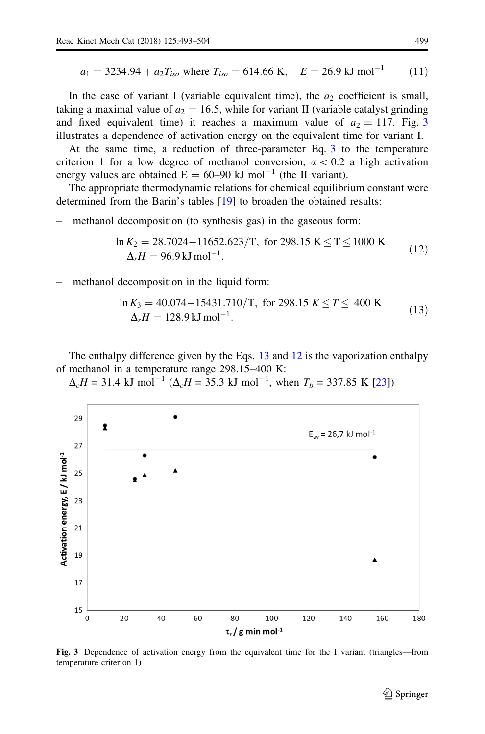<span id="page-7-0"></span>
$$
a_1 = 3234.94 + a_2 T_{iso}
$$
 where  $T_{iso} = 614.66$  K,  $E = 26.9$  kJ mol<sup>-1</sup> (11)

In the case of variant I (variable equivalent time), the  $a_2$  coefficient is small, taking a maximal value of  $a_2 = 16.5$ , while for variant II (variable catalyst grinding and fixed equivalent time) it reaches a maximum value of  $a_2 = 117$ . Fig. 3 illustrates a dependence of activation energy on the equivalent time for variant I.

At the same time, a reduction of three-parameter Eq. [3](#page-3-0) to the temperature criterion 1 for a low degree of methanol conversion,  $\alpha$  < 0.2 a high activation energy values are obtained  $E = 60-90$  kJ mol<sup>-1</sup> (the II variant).

The appropriate thermodynamic relations for chemical equilibrium constant were determined from the Barin's tables [[19\]](#page-12-0) to broaden the obtained results:

– methanol decomposition (to synthesis gas) in the gaseous form:

$$
\ln K_2 = 28.7024 - 11652.623/T, \text{ for } 298.15 \text{ K} \le T \le 1000 \text{ K}
$$
  
\n
$$
\Delta_r H = 96.9 \text{ kJ} \text{ mol}^{-1}.
$$
 (12)

methanol decomposition in the liquid form:

$$
\ln K_3 = 40.074 - 15431.710/T, \text{ for } 298.15 \text{ } K \le T \le 400 \text{ K}
$$
  
\n
$$
\Delta_r H = 128.9 \text{ kJ} \text{ mol}^{-1}.
$$
 (13)

The enthalpy difference given by the Eqs. 13 and 12 is the vaporization enthalpy of methanol in a temperature range 298.15–400 K:

 $\Delta_c H = 31.4 \text{ kJ mol}^{-1} (\Delta_c H = 35.3 \text{ kJ mol}^{-1}, \text{ when } T_b = 337.85 \text{ K}$  [[23\]](#page-12-0))



Fig. 3 Dependence of activation energy from the equivalent time for the I variant (triangles—from temperature criterion 1)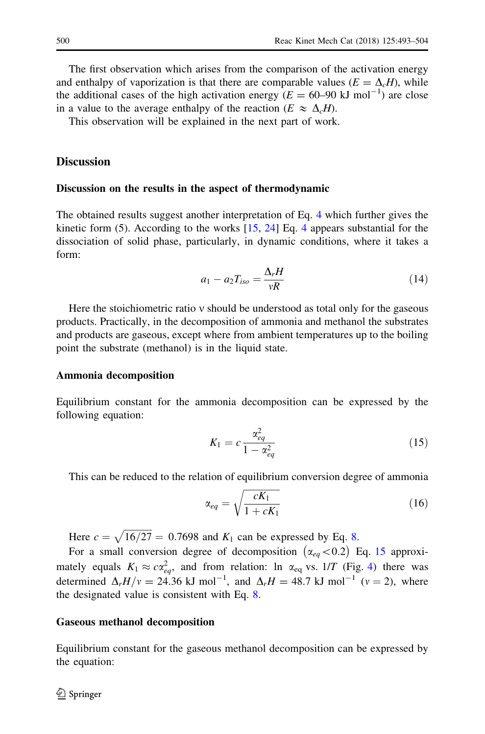The first observation which arises from the comparison of the activation energy and enthalpy of vaporization is that there are comparable values  $(E = \Delta<sub>c</sub>H)$ , while the additional cases of the high activation energy ( $E = 60{\text -}90 \text{ kJ mol}^{-1}$ ) are close in a value to the average enthalpy of the reaction ( $E \approx \Delta_c H$ ).

This observation will be explained in the next part of work.

## **Discussion**

#### Discussion on the results in the aspect of thermodynamic

The obtained results suggest another interpretation of Eq. [4](#page-3-0) which further gives the kinetic form (5). According to the works  $[15, 24]$  $[15, 24]$  $[15, 24]$  Eq. [4](#page-3-0) appears substantial for the dissociation of solid phase, particularly, in dynamic conditions, where it takes a form:

$$
a_1 - a_2 T_{iso} = \frac{\Delta_r H}{vR} \tag{14}
$$

Here the stoichiometric ratio  $v$  should be understood as total only for the gaseous products. Practically, in the decomposition of ammonia and methanol the substrates and products are gaseous, except where from ambient temperatures up to the boiling point the substrate (methanol) is in the liquid state.

#### Ammonia decomposition

Equilibrium constant for the ammonia decomposition can be expressed by the following equation:

$$
K_1 = c \frac{\alpha_{eq}^2}{1 - \alpha_{eq}^2} \tag{15}
$$

This can be reduced to the relation of equilibrium conversion degree of ammonia

$$
\alpha_{eq} = \sqrt{\frac{cK_1}{1 + cK_1}}\tag{16}
$$

Here  $c = \sqrt{16/27} = 0.7698$  $c = \sqrt{16/27} = 0.7698$  and  $K_1$  can be expressed by Eq. 8.

For a small conversion degree of decomposition  $(\alpha_{eq}<0.2)$  Eq. 15 approximately equals  $K_1 \approx c \alpha_{eq}^2$ , and from relation: ln  $\alpha_{eq}$  vs. 1/T (Fig. [4](#page-9-0)) there was determined  $\Delta_r H/v = 24.36 \text{ kJ mol}^{-1}$ , and  $\Delta_r H = 48.7 \text{ kJ mol}^{-1}$  ( $v = 2$ ), where the designated value is consistent with Eq. [8](#page-6-0).

#### Gaseous methanol decomposition

Equilibrium constant for the gaseous methanol decomposition can be expressed by the equation: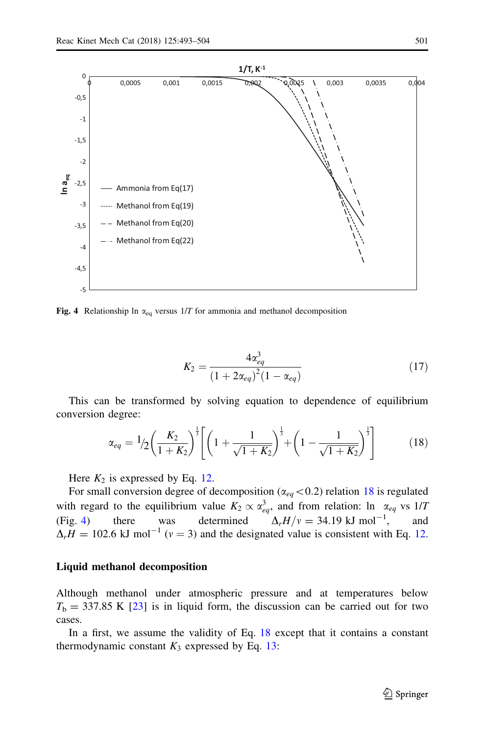<span id="page-9-0"></span>

Fig. 4 Relationship ln  $\alpha_{eq}$  versus 1/T for ammonia and methanol decomposition

$$
K_2 = \frac{4\alpha_{eq}^3}{\left(1 + 2\alpha_{eq}\right)^2 \left(1 - \alpha_{eq}\right)}\tag{17}
$$

This can be transformed by solving equation to dependence of equilibrium conversion degree:

$$
\alpha_{eq} = \frac{1}{2} \left( \frac{K_2}{1 + K_2} \right)^{\frac{1}{3}} \left[ \left( 1 + \frac{1}{\sqrt{1 + K_2}} \right)^{\frac{1}{3}} + \left( 1 - \frac{1}{\sqrt{1 + K_2}} \right)^{\frac{1}{3}} \right] \tag{18}
$$

Here  $K_2$  is expressed by Eq. [12.](#page-7-0)

For small conversion degree of decomposition ( $\alpha_{eq}$  < 0.2) relation 18 is regulated with regard to the equilibrium value  $K_2 \propto \alpha_{eq}^3$ , and from relation: ln  $\alpha_{eq}$  vs 1/T (Fig. 4) there was determined  $\Delta_r H/v = 34.19 \text{ kJ mol}^{-1}$ , and  $\Delta H = 102.6$  kJ mol<sup>-1</sup> ( $v = 3$ ) and the designated value is consistent with Eq. [12.](#page-7-0)

#### Liquid methanol decomposition

Although methanol under atmospheric pressure and at temperatures below  $T<sub>b</sub> = 337.85$  K [\[23](#page-12-0)] is in liquid form, the discussion can be carried out for two cases.

In a first, we assume the validity of Eq. 18 except that it contains a constant thermodynamic constant  $K_3$  expressed by Eq. [13:](#page-7-0)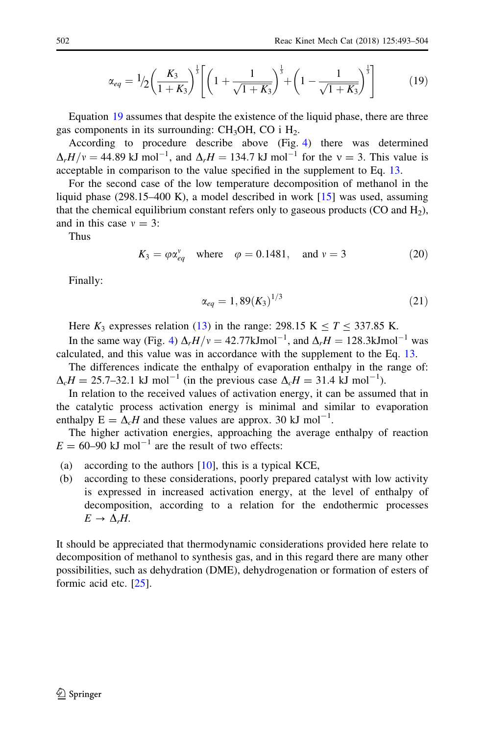<span id="page-10-0"></span>
$$
\alpha_{eq} = \frac{1}{2} \left( \frac{K_3}{1 + K_3} \right)^{\frac{1}{3}} \left[ \left( 1 + \frac{1}{\sqrt{1 + K_3}} \right)^{\frac{1}{3}} + \left( 1 - \frac{1}{\sqrt{1 + K_3}} \right)^{\frac{1}{3}} \right] \tag{19}
$$

Equation 19 assumes that despite the existence of the liquid phase, there are three gas components in its surrounding:  $CH<sub>3</sub>OH$ , CO i  $H<sub>2</sub>$ .

According to procedure describe above (Fig. [4](#page-9-0)) there was determined  $\Delta_r H/v = 44.89 \text{ kJ mol}^{-1}$ , and  $\Delta_r H = 134.7 \text{ kJ mol}^{-1}$  for the  $v = 3$ . This value is acceptable in comparison to the value specified in the supplement to Eq. [13.](#page-7-0)

For the second case of the low temperature decomposition of methanol in the liquid phase (298.15–400 K), a model described in work [[15\]](#page-12-0) was used, assuming that the chemical equilibrium constant refers only to gaseous products (CO and  $H_2$ ), and in this case  $v = 3$ :

Thus

$$
K_3 = \varphi \alpha_{eq}^{\nu} \quad \text{where} \quad \varphi = 0.1481, \quad \text{and } \nu = 3 \tag{20}
$$

Finally:

$$
\alpha_{eq} = 1,89(K_3)^{1/3} \tag{21}
$$

Here  $K_3$  expresses relation ([13\)](#page-7-0) in the range: 298.15 K  $\leq T \leq 337.85$  K.

In the same way (Fig. [4\)](#page-9-0)  $\Delta_r H/v = 42.77 \text{kJmol}^{-1}$ , and  $\Delta_r H = 128.3 \text{kJmol}^{-1}$  was calculated, and this value was in accordance with the supplement to the Eq. [13](#page-7-0).

The differences indicate the enthalpy of evaporation enthalpy in the range of:  $\Delta_c H = 25.7$ –32.1 kJ mol<sup>-1</sup> (in the previous case  $\Delta_c H = 31.4$  kJ mol<sup>-1</sup>).

In relation to the received values of activation energy, it can be assumed that in the catalytic process activation energy is minimal and similar to evaporation enthalpy  $E = \Delta_c H$  and these values are approx. 30 kJ mol<sup>-1</sup>.

The higher activation energies, approaching the average enthalpy of reaction  $E = 60-90$  kJ mol<sup>-1</sup> are the result of two effects:

- (a) according to the authors  $[10]$  $[10]$ , this is a typical KCE,
- (b) according to these considerations, poorly prepared catalyst with low activity is expressed in increased activation energy, at the level of enthalpy of decomposition, according to a relation for the endothermic processes  $E \rightarrow \Delta_r H$ .

It should be appreciated that thermodynamic considerations provided here relate to decomposition of methanol to synthesis gas, and in this regard there are many other possibilities, such as dehydration (DME), dehydrogenation or formation of esters of formic acid etc. [\[25\]](#page-12-0).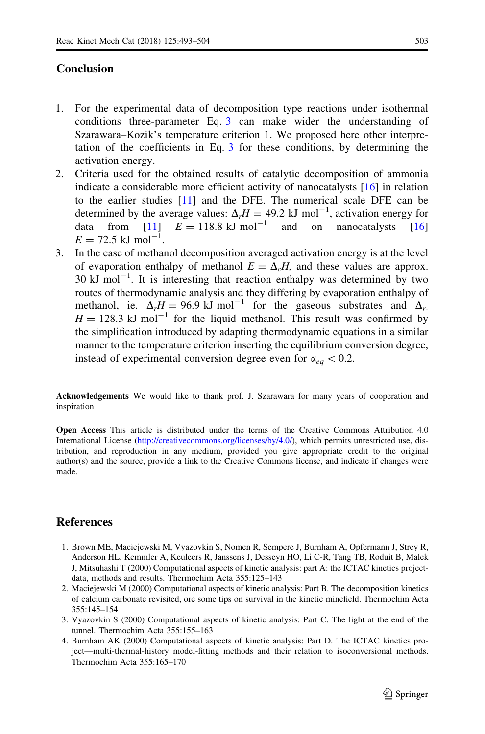## <span id="page-11-0"></span>Conclusion

- 1. For the experimental data of decomposition type reactions under isothermal conditions three-parameter Eq. [3](#page-3-0) can make wider the understanding of Szarawara–Kozik's temperature criterion 1. We proposed here other interpretation of the coefficients in Eq. [3](#page-3-0) for these conditions, by determining the activation energy.
- 2. Criteria used for the obtained results of catalytic decomposition of ammonia indicate a considerable more efficient activity of nanocatalysts [\[16](#page-12-0)] in relation to the earlier studies [[11\]](#page-12-0) and the DFE. The numerical scale DFE can be determined by the average values:  $\Delta_r H = 49.2 \text{ kJ mol}^{-1}$ , activation energy for data from [[11\]](#page-12-0)  $E = 118.8 \text{ kJ mol}^{-1}$  and on nanocatalysts [[16](#page-12-0)]  $E = 72.5$  kJ mol<sup>-1</sup>.
- 3. In the case of methanol decomposition averaged activation energy is at the level of evaporation enthalpy of methanol  $E = \Delta_c H$ , and these values are approx. 30 kJ mol<sup> $-1$ </sup>. It is interesting that reaction enthalpy was determined by two routes of thermodynamic analysis and they differing by evaporation enthalpy of methanol, ie.  $\Delta_r H = 96.9 \text{ kJ mol}^{-1}$  for the gaseous substrates and  $\Delta_r$ .  $H = 128.3$  kJ mol<sup>-1</sup> for the liquid methanol. This result was confirmed by the simplification introduced by adapting thermodynamic equations in a similar manner to the temperature criterion inserting the equilibrium conversion degree, instead of experimental conversion degree even for  $\alpha_{eq} < 0.2$ .

Acknowledgements We would like to thank prof. J. Szarawara for many years of cooperation and inspiration

Open Access This article is distributed under the terms of the Creative Commons Attribution 4.0 International License ([http://creativecommons.org/licenses/by/4.0/\)](http://creativecommons.org/licenses/by/4.0/), which permits unrestricted use, distribution, and reproduction in any medium, provided you give appropriate credit to the original author(s) and the source, provide a link to the Creative Commons license, and indicate if changes were made.

## References

- 1. Brown ME, Maciejewski M, Vyazovkin S, Nomen R, Sempere J, Burnham A, Opfermann J, Strey R, Anderson HL, Kemmler A, Keuleers R, Janssens J, Desseyn HO, Li C-R, Tang TB, Roduit B, Malek J, Mitsuhashi T (2000) Computational aspects of kinetic analysis: part A: the ICTAC kinetics projectdata, methods and results. Thermochim Acta 355:125–143
- 2. Maciejewski M (2000) Computational aspects of kinetic analysis: Part B. The decomposition kinetics of calcium carbonate revisited, ore some tips on survival in the kinetic minefield. Thermochim Acta 355:145–154
- 3. Vyazovkin S (2000) Computational aspects of kinetic analysis: Part C. The light at the end of the tunnel. Thermochim Acta 355:155–163
- 4. Burnham AK (2000) Computational aspects of kinetic analysis: Part D. The ICTAC kinetics project—multi-thermal-history model-fitting methods and their relation to isoconversional methods. Thermochim Acta 355:165–170